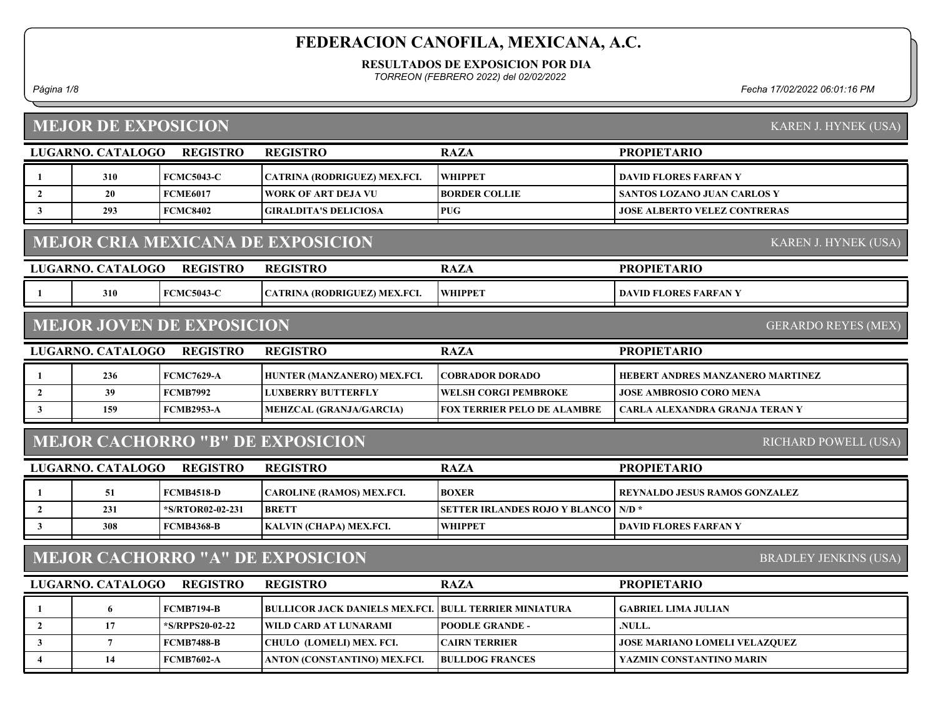RESULTADOS DE EXPOSICION POR DIA

TORREON (FEBRERO 2022) del 02/02/2022

Página 1/8 Fecha 17/02/2022 06:01:16 PM

# MEJOR DE EXPOSICION

|                | LUGARNO. CATALOGO | <b>REGISTRO</b>                  | <b>REGISTRO</b>                          | <b>RAZA</b>                          | <b>PROPIETARIO</b>                   |
|----------------|-------------------|----------------------------------|------------------------------------------|--------------------------------------|--------------------------------------|
| -1             | 310               | <b>FCMC5043-C</b>                | CATRINA (RODRIGUEZ) MEX.FCI.             | <b>WHIPPET</b>                       | <b>DAVID FLORES FARFAN Y</b>         |
| $\overline{2}$ | 20                | <b>FCME6017</b>                  | <b>WORK OF ART DEJA VU</b>               | <b>BORDER COLLIE</b>                 | <b>SANTOS LOZANO JUAN CARLOS Y</b>   |
| $\mathbf{3}$   | 293               | <b>FCMC8402</b>                  | <b>GIRALDITA'S DELICIOSA</b>             | <b>PUG</b>                           | <b>JOSE ALBERTO VELEZ CONTRERAS</b>  |
|                |                   |                                  | <b>MEJOR CRIA MEXICANA DE EXPOSICION</b> |                                      | KAREN J. HYNEK (USA)                 |
|                | LUGARNO. CATALOGO | <b>REGISTRO</b>                  | <b>REGISTRO</b>                          | <b>RAZA</b>                          | <b>PROPIETARIO</b>                   |
|                | 310               | <b>FCMC5043-C</b>                | CATRINA (RODRIGUEZ) MEX.FCI.             | <b>WHIPPET</b>                       | <b>DAVID FLORES FARFAN Y</b>         |
|                |                   | <b>MEJOR JOVEN DE EXPOSICION</b> |                                          |                                      | <b>GERARDO REYES (MEX)</b>           |
|                | LUGARNO. CATALOGO | <b>REGISTRO</b>                  | <b>REGISTRO</b>                          | <b>RAZA</b>                          | <b>PROPIETARIO</b>                   |
| 1              | 236               | <b>FCMC7629-A</b>                | HUNTER (MANZANERO) MEX.FCI.              | <b>COBRADOR DORADO</b>               | HEBERT ANDRES MANZANERO MARTINEZ     |
| $\overline{2}$ | 39                | <b>FCMB7992</b>                  | <b>LUXBERRY BUTTERFLY</b>                | <b>WELSH CORGI PEMBROKE</b>          | <b>JOSE AMBROSIO CORO MENA</b>       |
| $\mathbf{3}$   | 159               | <b>FCMB2953-A</b>                | MEHZCAL (GRANJA/GARCIA)                  | <b>FOX TERRIER PELO DE ALAMBRE</b>   | CARLA ALEXANDRA GRANJA TERAN Y       |
|                |                   |                                  | <b>MEJOR CACHORRO "B" DE EXPOSICION</b>  |                                      | RICHARD POWELL (USA)                 |
|                | LUGARNO. CATALOGO | <b>REGISTRO</b>                  | <b>REGISTRO</b>                          | <b>RAZA</b>                          | <b>PROPIETARIO</b>                   |
| 1              | 51                | <b>FCMB4518-D</b>                | <b>CAROLINE (RAMOS) MEX.FCI.</b>         | <b>BOXER</b>                         | <b>REYNALDO JESUS RAMOS GONZALEZ</b> |
| $\overline{2}$ | 231               | *S/RTOR02-02-231                 | <b>BRETT</b>                             | <b>SETTER IRLANDES ROJO Y BLANCO</b> | $N/D$ *                              |
| $\mathbf{3}$   | 308               | <b>FCMB4368-B</b>                | KALVIN (CHAPA) MEX.FCI.                  | <b>WHIPPET</b>                       | <b>DAVID FLORES FARFAN Y</b>         |
|                |                   |                                  |                                          |                                      |                                      |
|                |                   |                                  | <b>MEJOR CACHORRO "A" DE EXPOSICION</b>  |                                      | <b>BRADLEY JENKINS (USA)</b>         |

| LUGARNO. CATALOGO | <b>REGISTRO</b>   | <b>REGISTRO</b>                                              | <b>RAZA</b>            | <b>PROPIETARIO</b>                   |
|-------------------|-------------------|--------------------------------------------------------------|------------------------|--------------------------------------|
|                   | FCMB7194-B        | <b>BULLICOR JACK DANIELS MEX.FCI. BULL TERRIER MINIATURA</b> |                        | <b>GABRIEL LIMA JULIAN</b>           |
|                   | *S/RPPS20-02-22   | WILD CARD AT LUNARAMI_                                       | <b>POODLE GRANDE -</b> | NULL.                                |
|                   | <b>FCMB7488-B</b> | CHULO (LOMELI) MEX. FCI.                                     | <b>ICAIRN TERRIER</b>  | <b>JOSE MARIANO LOMELI VELAZQUEZ</b> |
|                   | <b>FCMB7602-A</b> | <b>ANTON (CONSTANTINO) MEX.FCI.</b>                          | <b>BULLDOG FRANCES</b> | YAZMIN CONSTANTINO MARIN             |

KAREN J. HYNEK (USA)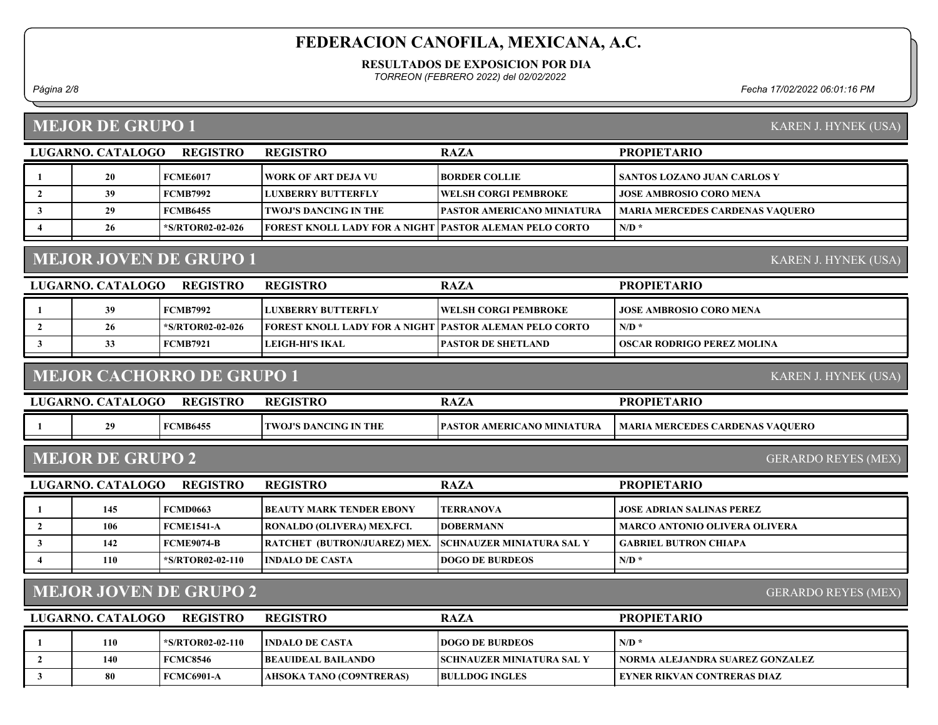#### RESULTADOS DE EXPOSICION POR DIA

TORREON (FEBRERO 2022) del 02/02/2022

Página 2/8 Fecha 17/02/2022 06:01:16 PM

### MEJOR DE GRUPO 1

| LUGARNO. CATALOGO | <b>REGISTRO</b>  | <b>REGISTRO</b>                                          | <b>RAZA</b>                        | <b>PROPIETARIO</b>                     |
|-------------------|------------------|----------------------------------------------------------|------------------------------------|----------------------------------------|
| 20                | FCME6017         | WORK OF ART DEJA VU                                      | <b>BORDER COLLIE</b>               | <b>SANTOS LOZANO JUAN CARLOS Y</b>     |
| 39                | FCMB7992         | <b>ILUXBERRY BUTTERFLY</b>                               | WELSH CORGI PEMBROKE               | <b>JOSE AMBROSIO CORO MENA</b>         |
| 29                | FCMB6455         | <b>TWOJ'S DANCING IN THE</b>                             | <b>TPASTOR AMERICANO MINIATURA</b> | <b>MARIA MERCEDES CARDENAS VAQUERO</b> |
| 26                | *S/RTOR02-02-026 | FOREST KNOLL LADY FOR A NIGHT  PASTOR ALEMAN PELO CORTO_ |                                    | $N/D$ *                                |
|                   |                  |                                                          |                                    |                                        |

## MEJOR JOVEN DE GRUPO 1

| LUGARNO, CATALOGO | <b>REGISTRO</b>  | <b>REGISTRO</b>                                               | <b>RAZA</b>                  | <b>PROPIETARIO</b>         |
|-------------------|------------------|---------------------------------------------------------------|------------------------------|----------------------------|
| 39                | <b>FCMB7992</b>  | <b>ILUXBERRY BUTTERFLY</b>                                    | <b>TWELSH CORGI PEMBROKE</b> | JOSE AMBROSIO CORO MENA    |
| 26                | *S/RTOR02-02-026 | <b>FOREST KNOLL LADY FOR A NIGHT PASTOR ALEMAN PELO CORTO</b> |                              | $N/D$ *                    |
|                   | <b>FCMB7921</b>  | LEIGH-HI'S IKAL                                               | <b>PASTOR DE SHETLAND</b>    | OSCAR RODRIGO PEREZ MOLINA |
|                   |                  |                                                               |                              |                            |

#### MEJOR CACHORRO DE GRUPO 1

REGISTRO

| 20<br><b>PASTOR AMERICANO MINIATURA</b><br><b>FCMB6455</b><br><b>TWOJ'S DANCING IN THE</b><br>  MARIA MERCEDES CARDENAS VAQUERO | LUGARNO. CATALOGO | <b>REGISTRO</b> | <b>REGISTRO</b> | RAZA | <b>PROPIETARIO</b> |
|---------------------------------------------------------------------------------------------------------------------------------|-------------------|-----------------|-----------------|------|--------------------|
|                                                                                                                                 |                   |                 |                 |      |                    |

#### MEJOR DE GRUPO 2

LUGARNO. CATALOGO REGISTRO RAZA PROPIETARIO 145 FCMD0663 BEAUTY MARK TENDER EBONY TERRANOVA JOSE ADRIAN SALINAS PEREZ

|     | .                 |                                                                 |                        |                                 |
|-----|-------------------|-----------------------------------------------------------------|------------------------|---------------------------------|
| 106 | <b>FCME1541-A</b> | <b>RONALDO (OLIVERA) MEX.FCI.</b>                               | <b>IDOBERMANN</b>      | ! MARCO ANTONIO OLIVERA OLIVERA |
| 142 | <b>FCME9074-B</b> | <b>TRATCHET (BUTRON/JUAREZ) MEX. ISCHNAUZER MINIATURA SAL Y</b> |                        | GABRIEL BUTRON CHIAPA           |
| 110 | *S/RTOR02-02-110  | <b>INDALO DE CASTA</b>                                          | <b>DOGO DE BURDEOS</b> | N/D                             |
|     |                   |                                                                 |                        |                                 |

### MEJOR JOVEN DE GRUPO 2

GERARDO REYES (MEX)

| LUGARNO. CATALOGO | <b>REGISTRO</b>   | <b>REGISTRO</b>          | <b>RAZA</b>                       | <b>PROPIETARIO</b>              |
|-------------------|-------------------|--------------------------|-----------------------------------|---------------------------------|
| 110               | *S/RTOR02-02-110  | I INDALO DE CASTA-       | <b>IDOGO DE BURDEOS</b>           | $N/D$ *                         |
| 140               | <b>FCMC8546</b>   | BEAUIDEAL BAILANDO_      | <b>ISCHNAUZER MINIATURA SAL Y</b> | NORMA ALEJANDRA SUAREZ GONZALEZ |
|                   | <b>FCMC6901-A</b> | AHSOKA TANO (CO9NTRERAS) | <b>IBULLDOG INGLES</b>            | EYNER RIKVAN CONTRERAS DIAZ-    |

#### KAREN J. HYNEK (USA)

KAREN J. HYNEK (USA)

KAREN J. HYNEK (USA)

GERARDO REYES (MEX)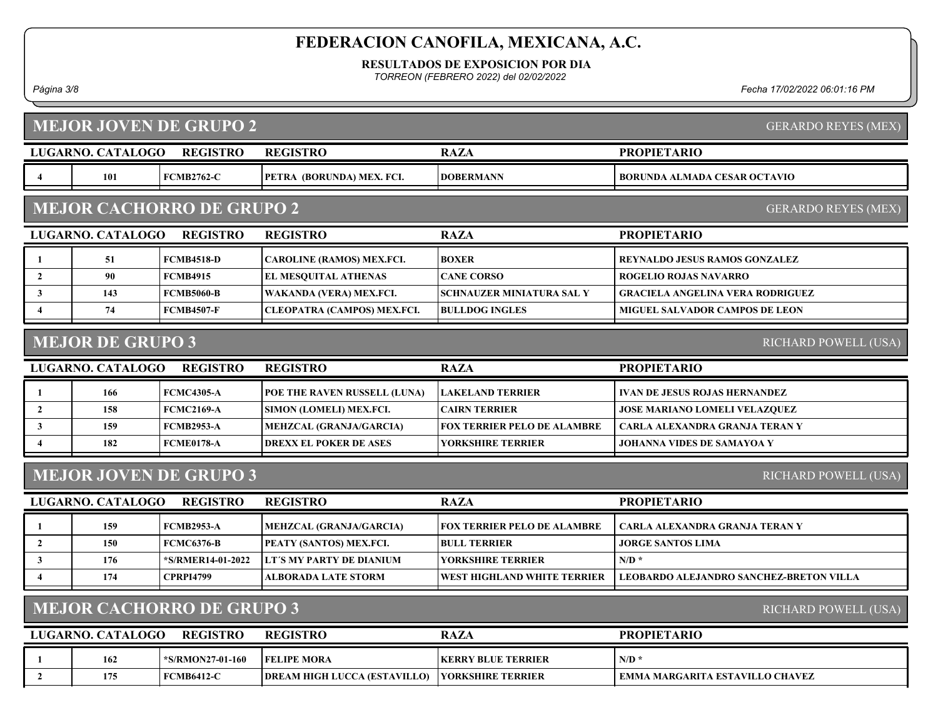RESULTADOS DE EXPOSICION POR DIA

TORREON (FEBRERO 2022) del 02/02/2022

Página 3/8 Fecha 17/02/2022 06:01:16 PM

LUGARNO. CATALOGO REGISTRO RAZA MEJOR JOVEN DE GRUPO 2 PROPIETARIO GERARDO REYES (MEX) REGISTRO 4 101 FCMB2762-C PETRA (BORUNDA) MEX. FCI. DOBERMANN BORUNDA ALMADA CESAR OCTAVIO LUGARNO. CATALOGO REGISTRO RAZA MEJOR CACHORRO DE GRUPO 2 PROPIETARIO GERARDO REYES (MEX) REGISTRO 1 51 FCMB4518-D CAROLINE (RAMOS) MEX.FCI. BOXER REYNALDO JESUS RAMOS GONZALEZ 2 90 FCMB4915 EL MESQUITAL ATHENAS CANE CORSO ROGELIO ROJAS NAVARRO 3 | 143 | FCMB5060-B | WAKANDA (VERA) MEX.FCI. | SCHNAUZER MINIATURA SAL Y | GRACIELA ANGELINA VERA RODRIGUEZ 4 | 74 FCMB4507-F CLEOPATRA (CAMPOS) MEX.FCI. BULLDOG INGLES | MIGUEL SALVADOR CAMPOS DE LEON LUGARNO. CATALOGO REGISTRO RAZA MEJOR DE GRUPO 3 PROPIETARIO RICHARD POWELL (USA) REGISTRO 1 166 FCMC4305-A POE THE RAVEN RUSSELL (LUNA) LAKELAND TERRIER VAN DE JESUS ROJAS HERNANDEZ 2 158 FCMC2169-A SIMON (LOMELI) MEX.FCI. CAIRN TERRIER JOSE MARIANO LOMELI VELAZQUEZ 3 159 FCMB2953-A MEHZCAL (GRANJA/GARCIA) FOX TERRIER PELO DE ALAMBRE | CARLA ALEXANDRA GRANJA TERAN Y 4 182 FCME0178-A DREXX EL POKER DE ASES JOHANNA VIDES DE SAMAYOA Y YORKSHIRE TERRIER LUGARNO. CATALOGO REGISTRO RAZA MEJOR JOVEN DE GRUPO 3 PROPIETARIO RICHARD POWELL (USA) REGISTRO 1 159 FCMB2953-A MEHZCAL (GRANJA/GARCIA) FOX TERRIER PELO DE ALAMBRE | CARLA ALEXANDRA GRANJA TERAN Y 2 | 150 FCMC6376-B PEATY (SANTOS) MEX.FCI. BULL TERRIER | JORGE SANTOS LIMA  $\frac{3}{176}$  176  $\frac{1}{202}$   $\frac{1}{2022}$  175 MY PARTY DE DIANIUM NORKSHIRE TERRIER 4 174 CPRPI4799 ALBORADA LATE STORM WEST HIGHLAND WHITE TERRIER LEOBARDO ALEJANDRO SANCHEZ-BRETON VILLA LUGARNO. CATALOGO REGISTRO RAZA MEJOR CACHORRO DE GRUPO 3 PROPIETARIO RICHARD POWELL (USA) REGISTRO 1 162 + S/RMON27-01-160 FELIPE MORA NERRY BLUE TERRIER N/D \* 2 175 FCMB6412-C DREAM HIGH LUCCA (ESTAVILLO) YORKSHIRE TERRIER EMMA MARGARITA ESTAVILLO CHAVEZ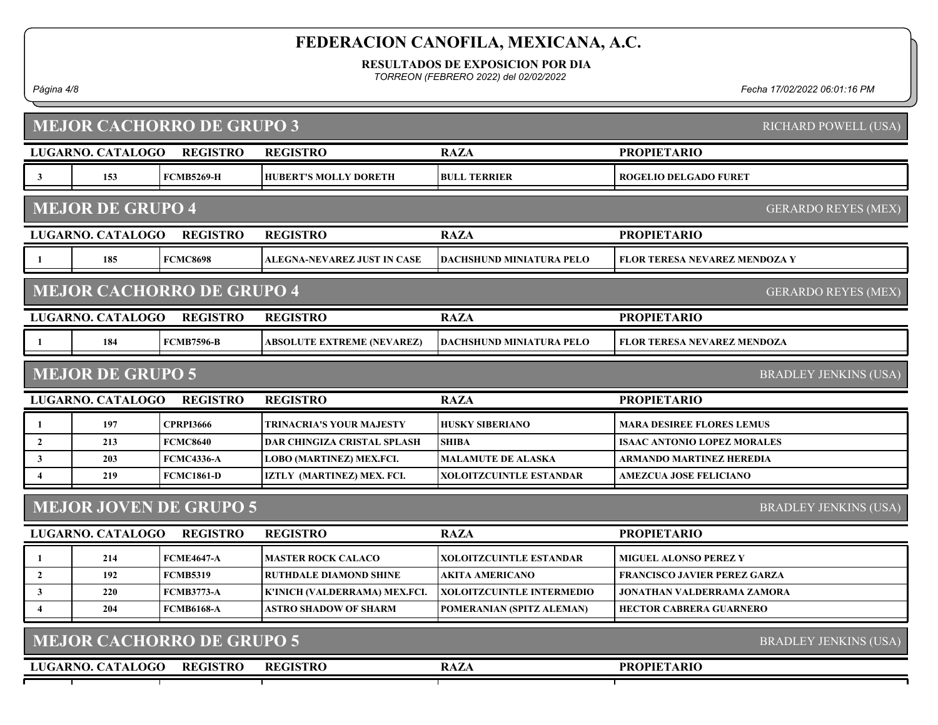RESULTADOS DE EXPOSICION POR DIA

TORREON (FEBRERO 2022) del 02/02/2022

Página 4/8 Fecha 17/02/2022 06:01:16 PM

|                         |                          | <b>MEJOR CACHORRO DE GRUPO 3</b> |                                    |                                 |                                      | RICHARD POWELL (USA)         |
|-------------------------|--------------------------|----------------------------------|------------------------------------|---------------------------------|--------------------------------------|------------------------------|
|                         | LUGARNO. CATALOGO        | <b>REGISTRO</b>                  | <b>REGISTRO</b>                    | <b>RAZA</b>                     | <b>PROPIETARIO</b>                   |                              |
| $\mathbf{3}$            | 153                      | <b>FCMB5269-H</b>                | <b>HUBERT'S MOLLY DORETH</b>       | <b>BULL TERRIER</b>             | <b>ROGELIO DELGADO FURET</b>         |                              |
|                         | <b>MEJOR DE GRUPO 4</b>  |                                  |                                    |                                 |                                      | <b>GERARDO REYES (MEX)</b>   |
|                         | LUGARNO. CATALOGO        | <b>REGISTRO</b>                  | <b>REGISTRO</b>                    | <b>RAZA</b>                     | <b>PROPIETARIO</b>                   |                              |
| -1                      | 185                      | <b>FCMC8698</b>                  | ALEGNA-NEVAREZ JUST IN CASE        | <b>DACHSHUND MINIATURA PELO</b> | <b>FLOR TERESA NEVAREZ MENDOZA Y</b> |                              |
|                         |                          | <b>MEJOR CACHORRO DE GRUPO 4</b> |                                    |                                 |                                      | <b>GERARDO REYES (MEX)</b>   |
|                         | <b>LUGARNO. CATALOGO</b> | <b>REGISTRO</b>                  | <b>REGISTRO</b>                    | <b>RAZA</b>                     | <b>PROPIETARIO</b>                   |                              |
| -1                      | 184                      | <b>FCMB7596-B</b>                | ABSOLUTE EXTREME (NEVAREZ)         | <b>DACHSHUND MINIATURA PELO</b> | <b>FLOR TERESA NEVAREZ MENDOZA</b>   |                              |
|                         | <b>MEJOR DE GRUPO 5</b>  |                                  |                                    |                                 |                                      | <b>BRADLEY JENKINS (USA)</b> |
|                         | LUGARNO. CATALOGO        | <b>REGISTRO</b>                  | <b>REGISTRO</b>                    | <b>RAZA</b>                     | <b>PROPIETARIO</b>                   |                              |
| 1                       | 197                      | <b>CPRPI3666</b>                 | TRINACRIA'S YOUR MAJESTY           | <b>HUSKY SIBERIANO</b>          | <b>MARA DESIREE FLORES LEMUS</b>     |                              |
| $\mathbf{2}$            | 213                      | <b>FCMC8640</b>                  | <b>DAR CHINGIZA CRISTAL SPLASH</b> | <b>SHIBA</b>                    | <b>ISAAC ANTONIO LOPEZ MORALES</b>   |                              |
| 3                       | 203                      | <b>FCMC4336-A</b>                | LOBO (MARTINEZ) MEX.FCI.           | <b>MALAMUTE DE ALASKA</b>       | ARMANDO MARTINEZ HEREDIA             |                              |
| 4                       | 219                      | <b>FCMC1861-D</b>                | IZTLY (MARTINEZ) MEX. FCI.         | XOLOITZCUINTLE ESTANDAR         | <b>AMEZCUA JOSE FELICIANO</b>        |                              |
|                         |                          | <b>MEJOR JOVEN DE GRUPO 5</b>    |                                    |                                 |                                      | <b>BRADLEY JENKINS (USA)</b> |
|                         | LUGARNO. CATALOGO        | <b>REGISTRO</b>                  | <b>REGISTRO</b>                    | <b>RAZA</b>                     | <b>PROPIETARIO</b>                   |                              |
| 1                       | 214                      | <b>FCME4647-A</b>                | <b>MASTER ROCK CALACO</b>          | XOLOITZCUINTLE ESTANDAR         | <b>MIGUEL ALONSO PEREZ Y</b>         |                              |
| $\mathbf{2}$            | 192                      | <b>FCMB5319</b>                  | <b>RUTHDALE DIAMOND SHINE</b>      | <b>AKITA AMERICANO</b>          | <b>FRANCISCO JAVIER PEREZ GARZA</b>  |                              |
| $\mathbf{3}$            | 220                      | <b>FCMB3773-A</b>                | K'INICH (VALDERRAMA) MEX.FCI.      | XOLOITZCUINTLE INTERMEDIO       | JONATHAN VALDERRAMA ZAMORA           |                              |
| $\overline{\mathbf{4}}$ | 204                      | <b>FCMB6168-A</b>                | <b>ASTRO SHADOW OF SHARM</b>       | POMERANIAN (SPITZ ALEMAN)       | <b>HECTOR CABRERA GUARNERO</b>       |                              |
|                         |                          | <b>MEJOR CACHORRO DE GRUPO 5</b> |                                    |                                 |                                      | <b>BRADLEY JENKINS (USA)</b> |
|                         | LUGARNO. CATALOGO        | <b>REGISTRO</b>                  | <b>REGISTRO</b>                    | <b>RAZA</b>                     | <b>PROPIETARIO</b>                   |                              |
|                         |                          |                                  |                                    |                                 |                                      |                              |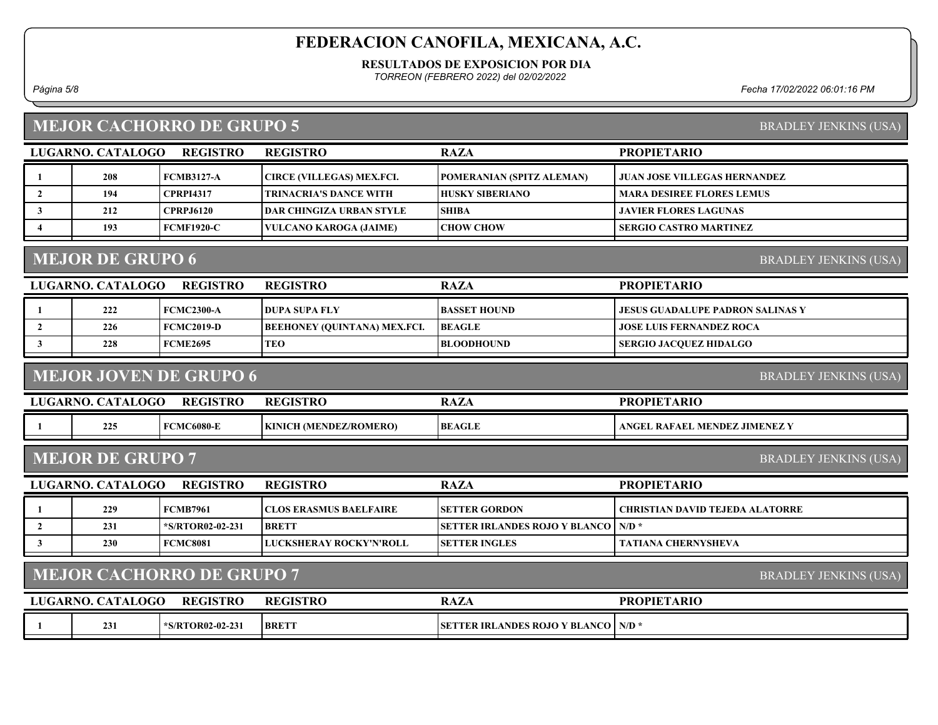#### RESULTADOS DE EXPOSICION POR DIA

TORREON (FEBRERO 2022) del 02/02/2022

Página 5/8 Fecha 17/02/2022 06:01:16 PM

# MEJOR CACHORRO DE GRUPO 5

BRADLEY JENKINS (USA)

|                         | LUGARNO. CATALOGO       | <b>REGISTRO</b>                  | <b>REGISTRO</b>                     | <b>RAZA</b>                                  | <b>PROPIETARIO</b>                      |
|-------------------------|-------------------------|----------------------------------|-------------------------------------|----------------------------------------------|-----------------------------------------|
| -1                      | 208                     | <b>FCMB3127-A</b>                | <b>CIRCE (VILLEGAS) MEX.FCI.</b>    | POMERANIAN (SPITZ ALEMAN)                    | <b>JUAN JOSE VILLEGAS HERNANDEZ</b>     |
| $\overline{2}$          | 194                     | <b>CPRPI4317</b>                 | <b>TRINACRIA'S DANCE WITH</b>       | <b>HUSKY SIBERIANO</b>                       | <b>MARA DESIREE FLORES LEMUS</b>        |
| $\mathbf{3}$            | 212                     | <b>CPRPJ6120</b>                 | <b>DAR CHINGIZA URBAN STYLE</b>     | <b>SHIBA</b>                                 | <b>JAVIER FLORES LAGUNAS</b>            |
| $\overline{\mathbf{4}}$ | 193                     | <b>FCMF1920-C</b>                | <b>VULCANO KAROGA (JAIME)</b>       | <b>CHOW CHOW</b>                             | <b>SERGIO CASTRO MARTINEZ</b>           |
|                         | <b>MEJOR DE GRUPO 6</b> |                                  |                                     |                                              | <b>BRADLEY JENKINS (USA)</b>            |
|                         | LUGARNO. CATALOGO       | <b>REGISTRO</b>                  | <b>REGISTRO</b>                     | <b>RAZA</b>                                  | <b>PROPIETARIO</b>                      |
|                         | 222                     | <b>FCMC2300-A</b>                | <b>DUPA SUPA FLY</b>                | <b>BASSET HOUND</b>                          | <b>JESUS GUADALUPE PADRON SALINAS Y</b> |
| $\overline{2}$          | 226                     | <b>FCMC2019-D</b>                | <b>BEEHONEY (QUINTANA) MEX.FCI.</b> | <b>BEAGLE</b>                                | <b>JOSE LUIS FERNANDEZ ROCA</b>         |
| $\mathbf{3}$            | 228                     | <b>FCME2695</b>                  | <b>TEO</b>                          | <b>BLOODHOUND</b>                            | <b>SERGIO JACQUEZ HIDALGO</b>           |
|                         |                         | <b>MEJOR JOVEN DE GRUPO 6</b>    |                                     |                                              | <b>BRADLEY JENKINS (USA)</b>            |
|                         |                         |                                  |                                     |                                              |                                         |
|                         | LUGARNO. CATALOGO       | <b>REGISTRO</b>                  | <b>REGISTRO</b>                     | <b>RAZA</b>                                  | <b>PROPIETARIO</b>                      |
|                         | 225                     | <b>FCMC6080-E</b>                | KINICH (MENDEZ/ROMERO)              | <b>BEAGLE</b>                                | ANGEL RAFAEL MENDEZ JIMENEZ Y           |
|                         | <b>MEJOR DE GRUPO 7</b> |                                  |                                     |                                              | <b>BRADLEY JENKINS (USA)</b>            |
|                         | LUGARNO. CATALOGO       | <b>REGISTRO</b>                  | <b>REGISTRO</b>                     | <b>RAZA</b>                                  | <b>PROPIETARIO</b>                      |
| -1                      | 229                     | <b>FCMB7961</b>                  | <b>CLOS ERASMUS BAELFAIRE</b>       | <b>SETTER GORDON</b>                         | <b>CHRISTIAN DAVID TEJEDA ALATORRE</b>  |
| $\overline{2}$          | 231                     | *S/RTOR02-02-231                 | <b>BRETT</b>                        | <b>SETTER IRLANDES ROJO Y BLANCO</b>         | $N/D$ *                                 |
| $\mathbf{3}$            | 230                     | <b>FCMC8081</b>                  | LUCKSHERAY ROCKY'N'ROLL             | <b>SETTER INGLES</b>                         | <b>TATIANA CHERNYSHEVA</b>              |
|                         |                         | <b>MEJOR CACHORRO DE GRUPO 7</b> |                                     |                                              | <b>BRADLEY JENKINS (USA)</b>            |
|                         | LUGARNO. CATALOGO       | <b>REGISTRO</b>                  | <b>REGISTRO</b>                     | <b>RAZA</b>                                  | <b>PROPIETARIO</b>                      |
| -1                      | 231                     | *S/RTOR02-02-231                 | <b>BRETT</b>                        | <b>SETTER IRLANDES ROJO Y BLANCO   N/D *</b> |                                         |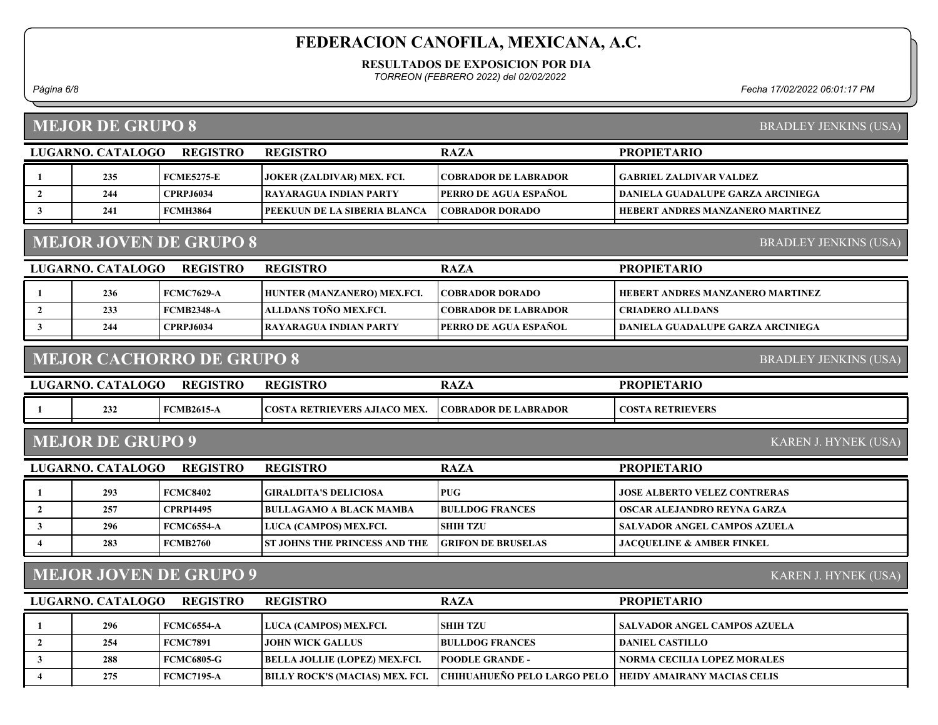#### RESULTADOS DE EXPOSICION POR DIA

TORREON (FEBRERO 2022) del 02/02/2022

Página 6/8 Fecha 17/02/2022 06:01:17 PM

# MEJOR DE GRUPO 8

BRADLEY JENKINS (USA)

|                | LUGARNO. CATALOGO                               | <b>REGISTRO</b>                  | <b>REGISTRO</b>                      | <b>RAZA</b>                 | <b>PROPIETARIO</b>                       |
|----------------|-------------------------------------------------|----------------------------------|--------------------------------------|-----------------------------|------------------------------------------|
| -1             | 235                                             | <b>FCME5275-E</b>                | JOKER (ZALDIVAR) MEX. FCI.           | <b>COBRADOR DE LABRADOR</b> | <b>GABRIEL ZALDIVAR VALDEZ</b>           |
| $\overline{2}$ | 244                                             | <b>CPRPJ6034</b>                 | RAYARAGUA INDIAN PARTY               | PERRO DE AGUA ESPAÑOL       | <b>DANIELA GUADALUPE GARZA ARCINIEGA</b> |
| $\mathbf{3}$   | 241                                             | <b>FCMH3864</b>                  | PEEKUUN DE LA SIBERIA BLANCA         | <b>COBRADOR DORADO</b>      | HEBERT ANDRES MANZANERO MARTINEZ         |
|                |                                                 | <b>MEJOR JOVEN DE GRUPO 8</b>    |                                      |                             | <b>BRADLEY JENKINS (USA)</b>             |
|                | LUGARNO. CATALOGO                               | <b>REGISTRO</b>                  | <b>REGISTRO</b>                      | <b>RAZA</b>                 | <b>PROPIETARIO</b>                       |
| -1             | 236                                             | <b>FCMC7629-A</b>                | HUNTER (MANZANERO) MEX.FCI.          | <b>COBRADOR DORADO</b>      | HEBERT ANDRES MANZANERO MARTINEZ         |
| $\overline{2}$ | 233                                             | <b>FCMB2348-A</b>                | ALLDANS TOÑO MEX.FCI.                | <b>COBRADOR DE LABRADOR</b> | <b>CRIADERO ALLDANS</b>                  |
| $\mathbf{3}$   | 244                                             | <b>CPRPJ6034</b>                 | <b>RAYARAGUA INDIAN PARTY</b>        | PERRO DE AGUA ESPAÑOL       | DANIELA GUADALUPE GARZA ARCINIEGA        |
|                |                                                 | <b>MEJOR CACHORRO DE GRUPO 8</b> |                                      |                             | <b>BRADLEY JENKINS (USA)</b>             |
|                | LUGARNO. CATALOGO                               | <b>REGISTRO</b>                  | <b>REGISTRO</b>                      | <b>RAZA</b>                 | <b>PROPIETARIO</b>                       |
| -1             | 232                                             | <b>FCMB2615-A</b>                | COSTA RETRIEVERS AJIACO MEX.         | <b>COBRADOR DE LABRADOR</b> | <b>COSTA RETRIEVERS</b>                  |
|                | <b>MEJOR DE GRUPO 9</b><br>KAREN J. HYNEK (USA) |                                  |                                      |                             |                                          |
|                |                                                 |                                  |                                      |                             |                                          |
|                | LUGARNO. CATALOGO                               | <b>REGISTRO</b>                  | <b>REGISTRO</b>                      | <b>RAZA</b>                 | <b>PROPIETARIO</b>                       |
| 1              | 293                                             | <b>FCMC8402</b>                  | <b>GIRALDITA'S DELICIOSA</b>         | <b>PUG</b>                  | <b>JOSE ALBERTO VELEZ CONTRERAS</b>      |
| $\overline{2}$ | 257                                             | <b>CPRPI4495</b>                 | <b>BULLAGAMO A BLACK MAMBA</b>       | <b>BULLDOG FRANCES</b>      | OSCAR ALEJANDRO REYNA GARZA              |
| $\mathbf{3}$   | 296                                             | <b>FCMC6554-A</b>                | LUCA (CAMPOS) MEX.FCI.               | <b>SHIH TZU</b>             | <b>SALVADOR ANGEL CAMPOS AZUELA</b>      |
| $\overline{4}$ | 283                                             | <b>FCMB2760</b>                  | <b>ST JOHNS THE PRINCESS AND THE</b> | <b>GRIFON DE BRUSELAS</b>   | <b>JACQUELINE &amp; AMBER FINKEL</b>     |
|                |                                                 | <b>MEJOR JOVEN DE GRUPO 9</b>    |                                      |                             | KAREN J. HYNEK (USA)                     |
|                | LUGARNO. CATALOGO                               | <b>REGISTRO</b>                  | <b>REGISTRO</b>                      | <b>RAZA</b>                 | <b>PROPIETARIO</b>                       |
| 1              | 296                                             | <b>FCMC6554-A</b>                | LUCA (CAMPOS) MEX.FCI.               | <b>SHIH TZU</b>             | <b>SALVADOR ANGEL CAMPOS AZUELA</b>      |
| $\overline{2}$ | 254                                             | <b>FCMC7891</b>                  | <b>JOHN WICK GALLUS</b>              | <b>BULLDOG FRANCES</b>      | <b>DANIEL CASTILLO</b>                   |
| $\mathbf{3}$   | 288                                             | <b>FCMC6805-G</b>                | <b>BELLA JOLLIE (LOPEZ) MEX.FCI.</b> | <b>POODLE GRANDE -</b>      | <b>NORMA CECILIA LOPEZ MORALES</b>       |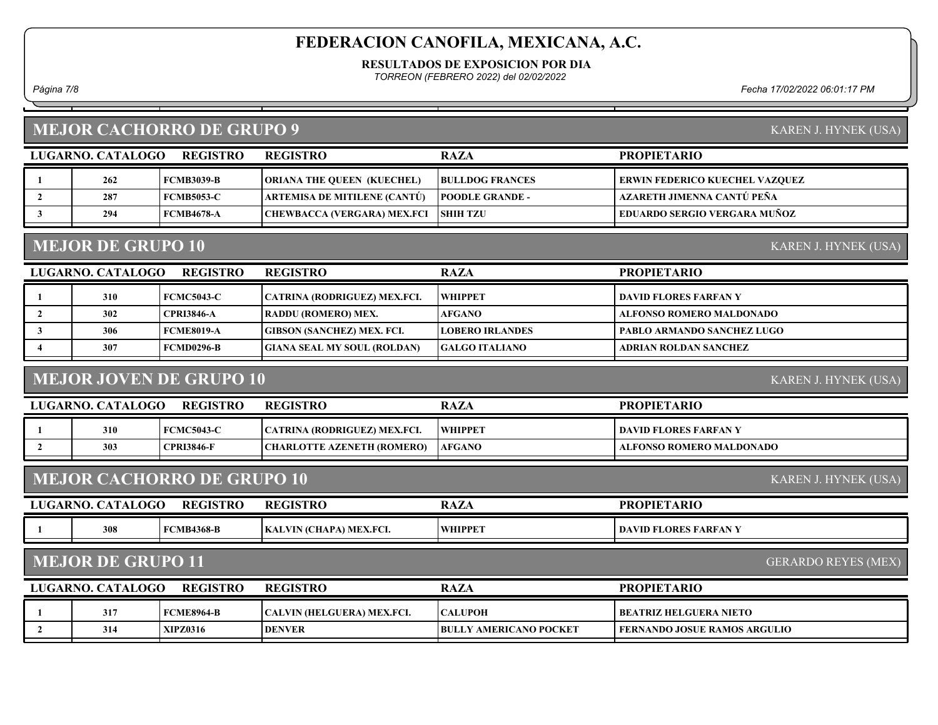RESULTADOS DE EXPOSICION POR DIA

TORREON (FEBRERO 2022) del 02/02/2022

Página 7/8 Fecha 17/02/2022 06:01:17 PM

### MEJOR CACHORRO DE GRUPO 9

| LUGARNO. CATALOGO | REGISTRO          | <b>REGISTRO</b>                     | <b>RAZA</b>            | <b>PROPIETARIO</b>                  |
|-------------------|-------------------|-------------------------------------|------------------------|-------------------------------------|
| 262               | <b>FCMB3039-B</b> | <b>ORIANA THE QUEEN (KUECHEL)</b>   | <b>BULLDOG FRANCES</b> | ERWIN FEDERICO KUECHEL VAZQUEZ      |
| 287               | <b>FCMB5053-C</b> | <b>ARTEMISA DE MITILENE (CANTÚ)</b> | <b>POODLE GRANDE -</b> | AZARETH JIMENNA CANTÚ PEÑA          |
| 294               | <b>FCMB4678-A</b> | <b>CHEWBACCA (VERGARA) MEX.FCI</b>  | <b>SHIH TZU</b>        | <b>EDUARDO SERGIO VERGARA MUÑOZ</b> |
|                   |                   |                                     |                        |                                     |

### MEJOR DE GRUPO 10

KAREN J. HYNEK (USA)

| LUGARNO. CATALOGO | <b>REGISTRO</b>   | <b>REGISTRO</b>                    | <b>RAZA</b>            | <b>PROPIETARIO</b>         |
|-------------------|-------------------|------------------------------------|------------------------|----------------------------|
| 310               | <b>FCMC5043-C</b> | CATRINA (RODRIGUEZ) MEX.FCI.       | <b>WHIPPET</b>         | l david flores farfan y    |
| 302               | <b>CPRI3846-A</b> | RADDU (ROMERO) MEX.                | <b>AFGANO</b>          | ALFONSO ROMERO MALDONADO   |
| 306               | FCME8019-A        | <b>GIBSON (SANCHEZ) MEX. FCI.</b>  | <b>LOBERO IRLANDES</b> | PABLO ARMANDO SANCHEZ LUGO |
| 307               | <b>FCMD0296-B</b> | <b>GIANA SEAL MY SOUL (ROLDAN)</b> | <b>GALGO ITALIANO</b>  | ADRIAN ROLDAN SANCHEZ      |
|                   |                   |                                    |                        |                            |

## MEJOR JOVEN DE GRUPO 10

KAREN J. HYNEK (USA)

KAREN J. HYNEK (USA)

| <b>REGISTRO</b><br>LUGARNO, CATALOGO |     |                   | <b>REGISTRO</b>                     | <b>RAZA</b>    | <b>PROPIETARIO</b>       |
|--------------------------------------|-----|-------------------|-------------------------------------|----------------|--------------------------|
|                                      | 310 | <b>FCMC5043-C</b> | <b>CATRINA (RODRIGUEZ) MEX.FCI.</b> | <b>WHIPPET</b> | DAVID FLORES FARFAN Y    |
|                                      | 303 | <b>CPRI3846-F</b> | CHARLOTTE AZENETH (ROMERO)          | <b>AFGANO</b>  | ALFONSO ROMERO MALDONADO |

### MEJOR CACHORRO DE GRUPO 10

| LUGARNO. | <b>CATALOGO</b> | <b>REGISTRO</b>   | <b>REGISTRO</b>         | $\overline{ }$<br>RAZA | <b>PROPIETARIO</b>    |
|----------|-----------------|-------------------|-------------------------|------------------------|-----------------------|
|          | 308             | <b>FCMB4368-B</b> | KALVIN (CHAPA) MEX.FCI. | WHIPPET                | DAVID FLORES FARFAN Y |

## MEJOR DE GRUPO 11

GERARDO REYES (MEX)

| LUGARNO. CATALOGO<br><b>REGISTRO</b> |  |                 | <b>REGISTRO</b>                   | <b>RAZA</b>                    | <b>PROPIETARIO</b>              |
|--------------------------------------|--|-----------------|-----------------------------------|--------------------------------|---------------------------------|
| 317                                  |  | FCME8964-B      | <b>CALVIN (HELGUERA) MEX.FCI.</b> | <b>CALUPOH</b>                 | BEATRIZ HELGUERA NIETO          |
| 314                                  |  | <b>XIPZ0316</b> | <b>DENVER</b>                     | <b>IBULLY AMERICANO POCKET</b> | 1 FERNANDO JOSUE RAMOS ARGULIO- |

KAREN J. HYNEK (USA)